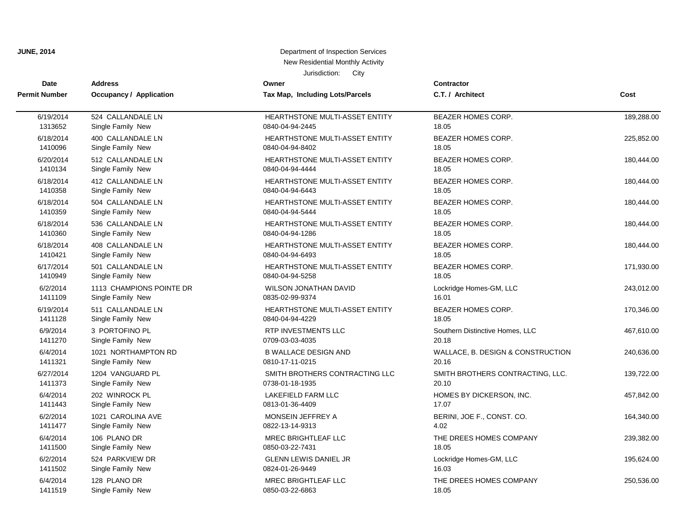### Jurisdiction: City**JUNE, 2014** Department of Inspection Services New Residential Monthly Activity

| <b>Date</b>          | <b>Address</b>           | Owner                                 | Contractor                        |            |
|----------------------|--------------------------|---------------------------------------|-----------------------------------|------------|
| <b>Permit Number</b> | Occupancy / Application  | Tax Map, Including Lots/Parcels       | C.T. / Architect                  | Cost       |
| 6/19/2014            | 524 CALLANDALE LN        | HEARTHSTONE MULTI-ASSET ENTITY        | BEAZER HOMES CORP.                | 189,288.00 |
| 1313652              | Single Family New        | 0840-04-94-2445                       | 18.05                             |            |
| 6/18/2014            | 400 CALLANDALE LN        | HEARTHSTONE MULTI-ASSET ENTITY        | BEAZER HOMES CORP.                | 225,852.00 |
| 1410096              | Single Family New        | 0840-04-94-8402                       | 18.05                             |            |
| 6/20/2014            | 512 CALLANDALE LN        | HEARTHSTONE MULTI-ASSET ENTITY        | BEAZER HOMES CORP.                | 180,444.00 |
| 1410134              | Single Family New        | 0840-04-94-4444                       | 18.05                             |            |
| 6/18/2014            | 412 CALLANDALE LN        | HEARTHSTONE MULTI-ASSET ENTITY        | <b>BEAZER HOMES CORP.</b>         | 180,444.00 |
| 1410358              | Single Family New        | 0840-04-94-6443                       | 18.05                             |            |
| 6/18/2014            | 504 CALLANDALE LN        | HEARTHSTONE MULTI-ASSET ENTITY        | BEAZER HOMES CORP.                | 180,444.00 |
| 1410359              | Single Family New        | 0840-04-94-5444                       | 18.05                             |            |
| 6/18/2014            | 536 CALLANDALE LN        | <b>HEARTHSTONE MULTI-ASSET ENTITY</b> | <b>BEAZER HOMES CORP.</b>         | 180,444.00 |
| 1410360              | Single Family New        | 0840-04-94-1286                       | 18.05                             |            |
| 6/18/2014            | 408 CALLANDALE LN        | HEARTHSTONE MULTI-ASSET ENTITY        | BEAZER HOMES CORP.                | 180,444.00 |
| 1410421              | Single Family New        | 0840-04-94-6493                       | 18.05                             |            |
| 6/17/2014            | 501 CALLANDALE LN        | HEARTHSTONE MULTI-ASSET ENTITY        | <b>BEAZER HOMES CORP.</b>         | 171,930.00 |
| 1410949              | Single Family New        | 0840-04-94-5258                       | 18.05                             |            |
| 6/2/2014             | 1113 CHAMPIONS POINTE DR | <b>WILSON JONATHAN DAVID</b>          | Lockridge Homes-GM, LLC           | 243,012.00 |
| 1411109              | Single Family New        | 0835-02-99-9374                       | 16.01                             |            |
| 6/19/2014            | 511 CALLANDALE LN        | HEARTHSTONE MULTI-ASSET ENTITY        | BEAZER HOMES CORP.                | 170,346.00 |
| 1411128              | Single Family New        | 0840-04-94-4229                       | 18.05                             |            |
| 6/9/2014             | 3 PORTOFINO PL           | RTP INVESTMENTS LLC                   | Southern Distinctive Homes, LLC   | 467,610.00 |
| 1411270              | Single Family New        | 0709-03-03-4035                       | 20.18                             |            |
| 6/4/2014             | 1021 NORTHAMPTON RD      | <b>B WALLACE DESIGN AND</b>           | WALLACE, B. DESIGN & CONSTRUCTION | 240,636.00 |
| 1411321              | Single Family New        | 0810-17-11-0215                       | 20.16                             |            |
| 6/27/2014            | 1204 VANGUARD PL         | SMITH BROTHERS CONTRACTING LLC        | SMITH BROTHERS CONTRACTING, LLC.  | 139,722.00 |
| 1411373              | Single Family New        | 0738-01-18-1935                       | 20.10                             |            |
| 6/4/2014             | 202 WINROCK PL           | LAKEFIELD FARM LLC                    | HOMES BY DICKERSON, INC.          | 457,842.00 |
| 1411443              | Single Family New        | 0813-01-36-4409                       | 17.07                             |            |
| 6/2/2014             | 1021 CAROLINA AVE        | MONSEIN JEFFREY A                     | BERINI, JOE F., CONST. CO.        | 164,340.00 |
| 1411477              | Single Family New        | 0822-13-14-9313                       | 4.02                              |            |
| 6/4/2014             | 106 PLANO DR             | MREC BRIGHTLEAF LLC                   | THE DREES HOMES COMPANY           | 239,382.00 |
| 1411500              | Single Family New        | 0850-03-22-7431                       | 18.05                             |            |
| 6/2/2014             | 524 PARKVIEW DR          | <b>GLENN LEWIS DANIEL JR</b>          | Lockridge Homes-GM, LLC           | 195,624.00 |
| 1411502              | Single Family New        | 0824-01-26-9449                       | 16.03                             |            |
| 6/4/2014             | 128 PLANO DR             | <b>MREC BRIGHTLEAF LLC</b>            | THE DREES HOMES COMPANY           | 250,536.00 |
| 1411519              | Single Family New        | 0850-03-22-6863                       | 18.05                             |            |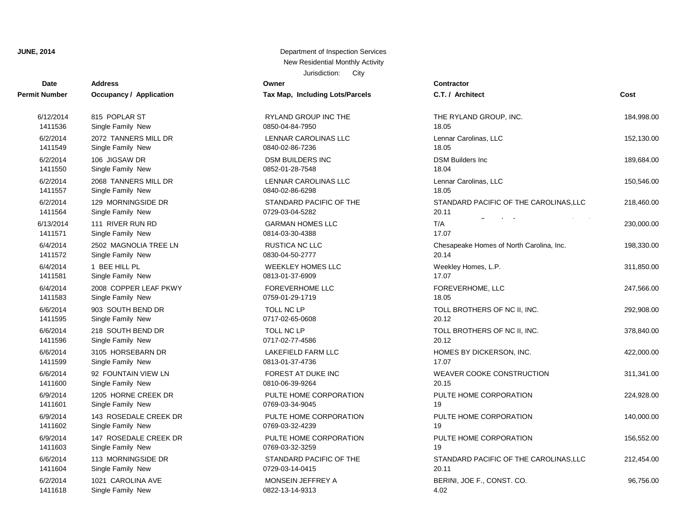#### Jurisdiction: City **Date Contractor Address Owner Permit Number Occupancy / Application Tax Map, Including Lots/Parcels JUNE, 2014** Department of Inspection Services New Residential Monthly Activity

| t Number  | <b>Occupancy / Application</b> | Tax Map, Including Lots/Parcels | C.T. / Architect                         | Cost       |
|-----------|--------------------------------|---------------------------------|------------------------------------------|------------|
| 6/12/2014 | 815 POPLAR ST                  | <b>RYLAND GROUP INC THE</b>     | THE RYLAND GROUP, INC.                   | 184,998.00 |
| 1411536   | Single Family New              | 0850-04-84-7950                 | 18.05                                    |            |
| 6/2/2014  | 2072 TANNERS MILL DR           | LENNAR CAROLINAS LLC            | Lennar Carolinas, LLC                    | 152,130.00 |
| 1411549   | Single Family New              | 0840-02-86-7236                 | 18.05                                    |            |
| 6/2/2014  | 106 JIGSAW DR                  | <b>DSM BUILDERS INC</b>         | <b>DSM Builders Inc</b>                  | 189,684.00 |
| 1411550   | Single Family New              | 0852-01-28-7548                 | 18.04                                    |            |
| 6/2/2014  | 2068 TANNERS MILL DR           | LENNAR CAROLINAS LLC            | Lennar Carolinas, LLC                    | 150,546.00 |
| 1411557   | Single Family New              | 0840-02-86-6298                 | 18.05                                    |            |
| 6/2/2014  | 129 MORNINGSIDE DR             | STANDARD PACIFIC OF THE         | STANDARD PACIFIC OF THE CAROLINAS, LLC   | 218,460.00 |
| 1411564   | Single Family New              | 0729-03-04-5282                 | 20.11                                    |            |
| 6/13/2014 | 111 RIVER RUN RD               | <b>GARMAN HOMES LLC</b>         | T/A                                      | 230,000.00 |
| 1411571   | Single Family New              | 0814-03-30-4388                 | 17.07                                    |            |
| 6/4/2014  | 2502 MAGNOLIA TREE LN          | <b>RUSTICA NC LLC</b>           | Chesapeake Homes of North Carolina, Inc. | 198,330.00 |
| 1411572   | Single Family New              | 0830-04-50-2777                 | 20.14                                    |            |
| 6/4/2014  | 1 BEE HILL PL                  | <b>WEEKLEY HOMES LLC</b>        | Weekley Homes, L.P.                      | 311,850.00 |
| 1411581   | Single Family New              | 0813-01-37-6909                 | 17.07                                    |            |
| 6/4/2014  | 2008 COPPER LEAF PKWY          | <b>FOREVERHOME LLC</b>          | FOREVERHOME, LLC                         | 247,566.00 |
| 1411583   | Single Family New              | 0759-01-29-1719                 | 18.05                                    |            |
| 6/6/2014  | 903 SOUTH BEND DR              | <b>TOLL NC LP</b>               | TOLL BROTHERS OF NC II, INC.             | 292,908.00 |
| 1411595   | Single Family New              | 0717-02-65-0608                 | 20.12                                    |            |
| 6/6/2014  | 218 SOUTH BEND DR              | TOLL NC LP                      | TOLL BROTHERS OF NC II, INC.             | 378,840.00 |
| 1411596   | Single Family New              | 0717-02-77-4586                 | 20.12                                    |            |
| 6/6/2014  | 3105 HORSEBARN DR              | LAKEFIELD FARM LLC              | HOMES BY DICKERSON, INC.                 | 422,000.00 |
| 1411599   | Single Family New              | 0813-01-37-4736                 | 17.07                                    |            |
| 6/6/2014  | 92 FOUNTAIN VIEW LN            | FOREST AT DUKE INC              | WEAVER COOKE CONSTRUCTION                | 311,341.00 |
| 1411600   | Single Family New              | 0810-06-39-9264                 | 20.15                                    |            |
| 6/9/2014  | 1205 HORNE CREEK DR            | PULTE HOME CORPORATION          | PULTE HOME CORPORATION                   | 224,928.00 |
| 1411601   | Single Family New              | 0769-03-34-9045                 | 19                                       |            |
| 6/9/2014  | 143 ROSEDALE CREEK DR          | PULTE HOME CORPORATION          | PULTE HOME CORPORATION                   | 140,000.00 |
| 1411602   | Single Family New              | 0769-03-32-4239                 | 19                                       |            |
| 6/9/2014  | 147 ROSEDALE CREEK DR          | PULTE HOME CORPORATION          | PULTE HOME CORPORATION                   | 156,552.00 |
| 1411603   | Single Family New              | 0769-03-32-3259                 | 19                                       |            |
| 6/6/2014  | 113 MORNINGSIDE DR             | STANDARD PACIFIC OF THE         | STANDARD PACIFIC OF THE CAROLINAS, LLC   | 212,454.00 |
| 1411604   | Single Family New              | 0729-03-14-0415                 | 20.11                                    |            |
| 6/2/2014  | 1021 CAROLINA AVE              | MONSEIN JEFFREY A               | BERINI, JOE F., CONST. CO.               | 96,756.00  |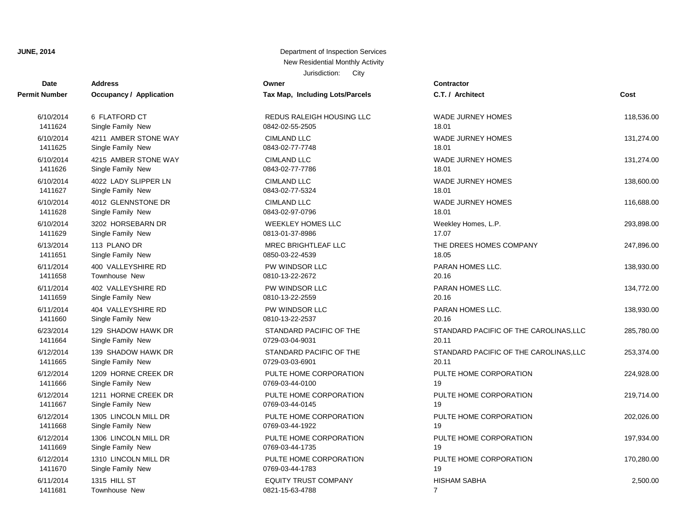# **JUNE, 2014** Department of Inspection Services New Residential Monthly Activity

| Date                 | <b>Address</b>                 | Owner                           | Contractor      |
|----------------------|--------------------------------|---------------------------------|-----------------|
| <b>Permit Number</b> | <b>Occupancy / Application</b> | Tax Map, Including Lots/Parcels | C.T. / Arch     |
| 6/10/2014            | 6 FLATFORD CT                  | REDUS RALEIGH HOUSING LLC       | <b>WADE JUF</b> |
| 1411624              | Single Family New              | 0842-02-55-2505                 | 18.01           |
| 6/10/2014            | 4211 AMBER STONE WAY           | <b>CIMLAND LLC</b>              | <b>WADE JUF</b> |
| 1411625              | Single Family New              | 0843-02-77-7748                 | 18.01           |
| 6/10/2014            | 4215 AMBER STONE WAY           | <b>CIMLAND LLC</b>              | <b>WADE JUF</b> |
| 1411626              | Single Family New              | 0843-02-77-7786                 | 18.01           |
| 6/10/2014            | 4022 LADY SLIPPER LN           | <b>CIMLAND LLC</b>              | <b>WADE JUF</b> |
| 1411627              | Single Family New              | 0843-02-77-5324                 | 18.01           |
| 6/10/2014            | 4012 GLENNSTONE DR             | <b>CIMLAND LLC</b>              | <b>WADE JUF</b> |
| 1411628              | Single Family New              | 0843-02-97-0796                 | 18.01           |
| 6/10/2014            | 3202 HORSEBARN DR              | <b>WEEKLEY HOMES LLC</b>        | Weekley H       |
| 1411629              | Single Family New              | 0813-01-37-8986                 | 17.07           |
| 6/13/2014            | 113 PLANO DR                   | <b>MREC BRIGHTLEAF LLC</b>      | THE DREE        |
| 1411651              | Single Family New              | 0850-03-22-4539                 | 18.05           |
| 6/11/2014            | 400 VALLEYSHIRE RD             | PW WINDSOR LLC                  | <b>PARAN HC</b> |
| 1411658              | Townhouse New                  | 0810-13-22-2672                 | 20.16           |
| 6/11/2014            | 402 VALLEYSHIRE RD             | PW WINDSOR LLC                  | PARAN HC        |
| 1411659              | Single Family New              | 0810-13-22-2559                 | 20.16           |
| 6/11/2014            | 404 VALLEYSHIRE RD             | PW WINDSOR LLC                  | <b>PARAN HC</b> |
| 1411660              | Single Family New              | 0810-13-22-2537                 | 20.16           |
| 6/23/2014            | 129 SHADOW HAWK DR             | STANDARD PACIFIC OF THE         | STANDARI        |
| 1411664              | Single Family New              | 0729-03-04-9031                 | 20.11           |
| 6/12/2014            | 139 SHADOW HAWK DR             | STANDARD PACIFIC OF THE         | <b>STANDARI</b> |
| 1411665              | Single Family New              | 0729-03-03-6901                 | 20.11           |
| 6/12/2014            | 1209 HORNE CREEK DR            | PULTE HOME CORPORATION          | PULTE HO        |
| 1411666              | Single Family New              | 0769-03-44-0100                 | 19              |
| 6/12/2014            | 1211 HORNE CREEK DR            | PULTE HOME CORPORATION          | PULTE HO        |
| 1411667              | Single Family New              | 0769-03-44-0145                 | 19              |
| 6/12/2014            | 1305 LINCOLN MILL DR           | PULTE HOME CORPORATION          | PULTE HO        |
| 1411668              | Single Family New              | 0769-03-44-1922                 | 19              |
| 6/12/2014            | 1306 LINCOLN MILL DR           | PULTE HOME CORPORATION          | PULTE HO        |
| 1411669              | Single Family New              | 0769-03-44-1735                 | 19              |
| 6/12/2014            | 1310 LINCOLN MILL DR           | PULTE HOME CORPORATION          | PULTE HO        |
| 1411670              | Single Family New              | 0769-03-44-1783                 | 19              |
| 6/11/2014            | 1315 HILL ST                   | <b>EQUITY TRUST COMPANY</b>     | <b>HISHAM S</b> |

Jurisdiction: City 0813-01-37-8986 0843-02-97-0796 WEEKLEY HOMES LLC 0843-02-77-5324 0843-02-77-7786 0843-02-77-7748 0842-02-55-2505 **REDUS RALEIGH HOUSING LLC** 

1411681 Townhouse New 0821-15-63-4788 7 **EQUITY TRUST COMPANY** 

| Date      | Address                        | ∪wner                           | Contractor                             |            |
|-----------|--------------------------------|---------------------------------|----------------------------------------|------------|
| t Number  | <b>Occupancy / Application</b> | Tax Map, Including Lots/Parcels | C.T. / Architect                       | Cost       |
| 6/10/2014 | 6 FLATFORD CT                  | REDUS RALEIGH HOUSING LLC       | <b>WADE JURNEY HOMES</b>               | 118,536.00 |
| 1411624   | Single Family New              | 0842-02-55-2505                 | 18.01                                  |            |
| 6/10/2014 | 4211 AMBER STONE WAY           | <b>CIMLAND LLC</b>              | <b>WADE JURNEY HOMES</b>               | 131,274.00 |
| 1411625   | Single Family New              | 0843-02-77-7748                 | 18.01                                  |            |
| 6/10/2014 | 4215 AMBER STONE WAY           | <b>CIMLAND LLC</b>              | <b>WADE JURNEY HOMES</b>               | 131,274.00 |
| 1411626   | Single Family New              | 0843-02-77-7786                 | 18.01                                  |            |
| 6/10/2014 | 4022 LADY SLIPPER LN           | <b>CIMLAND LLC</b>              | <b>WADE JURNEY HOMES</b>               | 138,600.00 |
| 1411627   | Single Family New              | 0843-02-77-5324                 | 18.01                                  |            |
| 6/10/2014 | 4012 GLENNSTONE DR             | <b>CIMLAND LLC</b>              | <b>WADE JURNEY HOMES</b>               | 116,688.00 |
| 1411628   | Single Family New              | 0843-02-97-0796                 | 18.01                                  |            |
| 6/10/2014 | 3202 HORSEBARN DR              | <b>WEEKLEY HOMES LLC</b>        | Weekley Homes, L.P.                    | 293,898.00 |
| 1411629   | Single Family New              | 0813-01-37-8986                 | 17.07                                  |            |
| 6/13/2014 | 113 PLANO DR                   | <b>MREC BRIGHTLEAF LLC</b>      | THE DREES HOMES COMPANY                | 247,896.00 |
| 1411651   | Single Family New              | 0850-03-22-4539                 | 18.05                                  |            |
| 6/11/2014 | 400 VALLEYSHIRE RD             | PW WINDSOR LLC                  | PARAN HOMES LLC.                       | 138,930.00 |
| 1411658   | Townhouse New                  | 0810-13-22-2672                 | 20.16                                  |            |
| 6/11/2014 | 402 VALLEYSHIRE RD             | PW WINDSOR LLC                  | PARAN HOMES LLC.                       | 134,772.00 |
| 1411659   | Single Family New              | 0810-13-22-2559                 | 20.16                                  |            |
| 6/11/2014 | 404 VALLEYSHIRE RD             | PW WINDSOR LLC                  | <b>PARAN HOMES LLC.</b>                | 138,930.00 |
| 1411660   | Single Family New              | 0810-13-22-2537                 | 20.16                                  |            |
| 6/23/2014 | 129 SHADOW HAWK DR             | STANDARD PACIFIC OF THE         | STANDARD PACIFIC OF THE CAROLINAS, LLC | 285,780.00 |
| 1411664   | Single Family New              | 0729-03-04-9031                 | 20.11                                  |            |
| 6/12/2014 | 139 SHADOW HAWK DR             | STANDARD PACIFIC OF THE         | STANDARD PACIFIC OF THE CAROLINAS, LLC | 253,374.00 |
| 1411665   | Single Family New              | 0729-03-03-6901                 | 20.11                                  |            |
| 6/12/2014 | 1209 HORNE CREEK DR            | PULTE HOME CORPORATION          | PULTE HOME CORPORATION                 | 224,928.00 |
| 1411666   | Single Family New              | 0769-03-44-0100                 | 19                                     |            |
| 6/12/2014 | 1211 HORNE CREEK DR            | PULTE HOME CORPORATION          | PULTE HOME CORPORATION                 | 219,714.00 |
| 1411667   | Single Family New              | 0769-03-44-0145                 | 19                                     |            |
| 6/12/2014 | 1305 LINCOLN MILL DR           | PULTE HOME CORPORATION          | PULTE HOME CORPORATION                 | 202,026.00 |
| 1411668   | Single Family New              | 0769-03-44-1922                 | 19                                     |            |
| 6/12/2014 | 1306 LINCOLN MILL DR           | PULTE HOME CORPORATION          | PULTE HOME CORPORATION                 | 197,934.00 |
| 1411669   | Single Family New              | 0769-03-44-1735                 | 19                                     |            |
| 6/12/2014 | 1310 LINCOLN MILL DR           | PULTE HOME CORPORATION          | PULTE HOME CORPORATION                 | 170,280.00 |
| 1411670   | Single Family New              | 0769-03-44-1783                 | 19                                     |            |
| 6/11/2014 | 1315 HILL ST                   | EQUITY TRUST COMPANY            | <b>HISHAM SABHA</b>                    | 2,500.00   |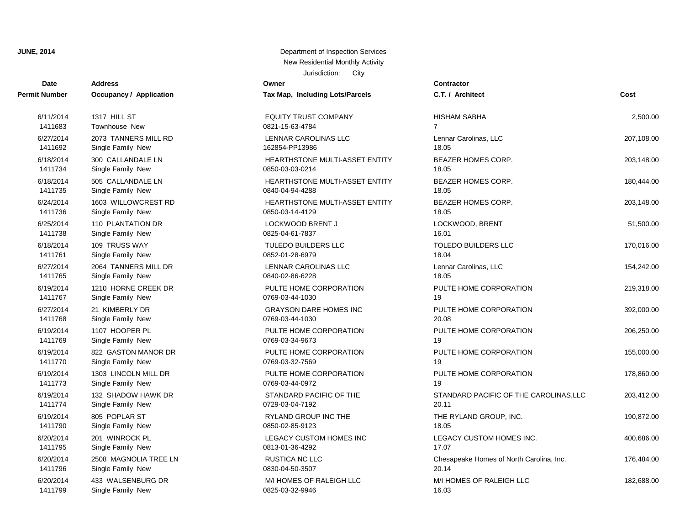### Jurisdiction: City **JUNE, 2014** Department of Inspection Services New Residential Monthly Activity

| <b>Date</b>          | <b>Address</b>                 | Owner                                 | <b>Contractor</b>   |
|----------------------|--------------------------------|---------------------------------------|---------------------|
| <b>Permit Number</b> | <b>Occupancy / Application</b> | Tax Map, Including Lots/Parcels       | C.T. / Architect    |
| 6/11/2014            | 1317 HILL ST                   | <b>EQUITY TRUST COMPANY</b>           | <b>HISHAM SABHA</b> |
| 1411683              | Townhouse New                  | 0821-15-63-4784                       | $\overline{7}$      |
| 6/27/2014            | 2073 TANNERS MILL RD           | LENNAR CAROLINAS LLC                  | Lennar Carolinas    |
| 1411692              | Single Family New              | 162854-PP13986                        | 18.05               |
| 6/18/2014            | 300 CALLANDALE LN              | HEARTHSTONE MULTI-ASSET ENTITY        | <b>BEAZER HOME</b>  |
| 1411734              | Single Family New              | 0850-03-03-0214                       | 18.05               |
| 6/18/2014            | 505 CALLANDALE LN              | HEARTHSTONE MULTI-ASSET ENTITY        | <b>BEAZER HOME</b>  |
| 1411735              | Single Family New              | 0840-04-94-4288                       | 18.05               |
| 6/24/2014            | 1603 WILLOWCREST RD            | <b>HEARTHSTONE MULTI-ASSET ENTITY</b> | <b>BEAZER HOME</b>  |
| 1411736              | Single Family New              | 0850-03-14-4129                       | 18.05               |
| 6/25/2014            | 110 PLANTATION DR              | LOCKWOOD BRENT J                      | LOCKWOOD, B         |
| 1411738              | Single Family New              | 0825-04-61-7837                       | 16.01               |
| 6/18/2014            | 109 TRUSS WAY                  | <b>TULEDO BUILDERS LLC</b>            | <b>TOLEDO BUILD</b> |
| 1411761              | Single Family New              | 0852-01-28-6979                       | 18.04               |
| 6/27/2014            | 2064 TANNERS MILL DR           | LENNAR CAROLINAS LLC                  | Lennar Carolinas    |
| 1411765              | Single Family New              | 0840-02-86-6228                       | 18.05               |
| 6/19/2014            | 1210 HORNE CREEK DR            | PULTE HOME CORPORATION                | PULTE HOME O        |
| 1411767              | Single Family New              | 0769-03-44-1030                       | 19                  |
| 6/27/2014            | 21 KIMBERLY DR                 | <b>GRAYSON DARE HOMES INC</b>         | PULTE HOME (        |
| 1411768              | Single Family New              | 0769-03-44-1030                       | 20.08               |
| 6/19/2014            | 1107 HOOPER PL                 | PULTE HOME CORPORATION                | PULTE HOME (        |
| 1411769              | Single Family New              | 0769-03-34-9673                       | 19                  |
| 6/19/2014            | 822 GASTON MANOR DR            | PULTE HOME CORPORATION                | PULTE HOME O        |
| 1411770              | Single Family New              | 0769-03-32-7569                       | 19                  |
| 6/19/2014            | 1303 LINCOLN MILL DR           | PULTE HOME CORPORATION                | PULTE HOME (        |
| 1411773              | Single Family New              | 0769-03-44-0972                       | 19                  |
| 6/19/2014            | 132 SHADOW HAWK DR             | STANDARD PACIFIC OF THE               | <b>STANDARD PA</b>  |
| 1411774              | Single Family New              | 0729-03-04-7192                       | 20.11               |
| 6/19/2014            | 805 POPLAR ST                  | RYLAND GROUP INC THE                  | THE RYLAND G        |
| 1411790              | Single Family New              | 0850-02-85-9123                       | 18.05               |
| 6/20/2014            | 201 WINROCK PL                 | LEGACY CUSTOM HOMES INC               | <b>LEGACY CUST</b>  |
| 1411795              | Single Family New              | 0813-01-36-4292                       | 17.07               |
| 6/20/2014            | 2508 MAGNOLIA TREE LN          | RUSTICA NC LLC                        | Chesapeake Ho       |
| 1411796              | Single Family New              | 0830-04-50-3507                       | 20.14               |
| 6/20/2014            | 433 WALSENBURG DR              | M/I HOMES OF RALEIGH LLC              | M/I HOMES OF        |
| 1411799              | Single Family New              | 0825-03-32-9946                       | 16.03               |

| Tax Map, Including Lots/Parcels                   |
|---------------------------------------------------|
| <b>EQUITY TRUST COMPANY</b><br>0821-15-63-4784    |
| LENNAR CAROLINAS LLC<br>162854-PP13986            |
| HEARTHSTONE MULTI-ASSET ENTITY<br>0850-03-03-0214 |
| HEARTHSTONE MULTI-ASSET ENTITY<br>0840-04-94-4288 |
| HEARTHSTONE MULTI-ASSET ENTITY<br>0850-03-14-4129 |
| LOCKWOOD BRENT J<br>0825-04-61-7837               |
| TULEDO BUILDERS LLC<br>0852-01-28-6979            |
| LENNAR CAROLINAS LLC<br>0840-02-86-6228           |
| PULTE HOME CORPORATION<br>0769-03-44-1030         |
| <b>GRAYSON DARE HOMES INC</b><br>0769-03-44-1030  |
| PULTE HOME CORPORATION<br>0769-03-34-9673         |
| PULTE HOME CORPORATION<br>0769-03-32-7569         |
| PULTE HOME CORPORATION<br>0769-03-44-0972         |
| STANDARD PACIFIC OF THE<br>0729-03-04-7192        |
| RYLAND GROUP INC THE<br>0850-02-85-9123           |
| LEGACY CUSTOM HOMES INC<br>0813-01-36-4292        |
| <b>RUSTICA NC LLC</b><br>0830-04-50-3507          |
| M/I HOMES OF RALEIGH LLC<br>ANDO-CF-A1-2016       |

| t Number  | Occupancy / Application | Tax Map, Including Lots/Parcels | C.T. / Architect                         | Cost       |
|-----------|-------------------------|---------------------------------|------------------------------------------|------------|
| 6/11/2014 | 1317 HILL ST            | <b>EQUITY TRUST COMPANY</b>     | <b>HISHAM SABHA</b>                      | 2,500.00   |
| 1411683   | Townhouse New           | 0821-15-63-4784                 | $\overline{7}$                           |            |
| 6/27/2014 | 2073 TANNERS MILL RD    | LENNAR CAROLINAS LLC            | Lennar Carolinas, LLC                    | 207,108.00 |
| 1411692   | Single Family New       | 162854-PP13986                  | 18.05                                    |            |
| 6/18/2014 | 300 CALLANDALE LN       | HEARTHSTONE MULTI-ASSET ENTITY  | BEAZER HOMES CORP.                       | 203,148.00 |
| 1411734   | Single Family New       | 0850-03-03-0214                 | 18.05                                    |            |
| 6/18/2014 | 505 CALLANDALE LN       | HEARTHSTONE MULTI-ASSET ENTITY  | BEAZER HOMES CORP.                       | 180,444.00 |
| 1411735   | Single Family New       | 0840-04-94-4288                 | 18.05                                    |            |
| 6/24/2014 | 1603 WILLOWCREST RD     | HEARTHSTONE MULTI-ASSET ENTITY  | BEAZER HOMES CORP.                       | 203,148.00 |
| 1411736   | Single Family New       | 0850-03-14-4129                 | 18.05                                    |            |
| 6/25/2014 | 110 PLANTATION DR       | LOCKWOOD BRENT J                | LOCKWOOD, BRENT                          | 51,500.00  |
| 1411738   | Single Family New       | 0825-04-61-7837                 | 16.01                                    |            |
| 6/18/2014 | 109 TRUSS WAY           | TULEDO BUILDERS LLC             | <b>TOLEDO BUILDERS LLC</b>               | 170,016.00 |
| 1411761   | Single Family New       | 0852-01-28-6979                 | 18.04                                    |            |
| 6/27/2014 | 2064 TANNERS MILL DR    | LENNAR CAROLINAS LLC            | Lennar Carolinas, LLC                    | 154,242.00 |
| 1411765   | Single Family New       | 0840-02-86-6228                 | 18.05                                    |            |
| 6/19/2014 | 1210 HORNE CREEK DR     | PULTE HOME CORPORATION          | PULTE HOME CORPORATION                   | 219,318.00 |
| 1411767   | Single Family New       | 0769-03-44-1030                 | 19                                       |            |
| 6/27/2014 | 21 KIMBERLY DR          | <b>GRAYSON DARE HOMES INC</b>   | PULTE HOME CORPORATION                   | 392,000.00 |
| 1411768   | Single Family New       | 0769-03-44-1030                 | 20.08                                    |            |
| 6/19/2014 | 1107 HOOPER PL          | PULTE HOME CORPORATION          | PULTE HOME CORPORATION                   | 206,250.00 |
| 1411769   | Single Family New       | 0769-03-34-9673                 | 19                                       |            |
| 6/19/2014 | 822 GASTON MANOR DR     | PULTE HOME CORPORATION          | PULTE HOME CORPORATION                   | 155,000.00 |
| 1411770   | Single Family New       | 0769-03-32-7569                 | 19                                       |            |
| 6/19/2014 | 1303 LINCOLN MILL DR    | PULTE HOME CORPORATION          | PULTE HOME CORPORATION                   | 178,860.00 |
| 1411773   | Single Family New       | 0769-03-44-0972                 | 19                                       |            |
| 6/19/2014 | 132 SHADOW HAWK DR      | STANDARD PACIFIC OF THE         | STANDARD PACIFIC OF THE CAROLINAS, LLC   | 203,412.00 |
| 1411774   | Single Family New       | 0729-03-04-7192                 | 20.11                                    |            |
| 6/19/2014 | 805 POPLAR ST           | RYLAND GROUP INC THE            | THE RYLAND GROUP, INC.                   | 190,872.00 |
| 1411790   | Single Family New       | 0850-02-85-9123                 | 18.05                                    |            |
| 6/20/2014 | 201 WINROCK PL          | LEGACY CUSTOM HOMES INC         | LEGACY CUSTOM HOMES INC.                 | 400,686.00 |
| 1411795   | Single Family New       | 0813-01-36-4292                 | 17.07                                    |            |
| 6/20/2014 | 2508 MAGNOLIA TREE LN   | <b>RUSTICA NC LLC</b>           | Chesapeake Homes of North Carolina, Inc. | 176,484.00 |
| 1411796   | Single Family New       | 0830-04-50-3507                 | 20.14                                    |            |
| 6/20/2014 | 433 WALSENBURG DR       | M/I HOMES OF RALEIGH LLC        | M/I HOMES OF RALEIGH LLC                 | 182,688.00 |
| 1411700   | Cinalo Family Now       | <b>OODE OP 22 OOJE</b>          | 1000                                     |            |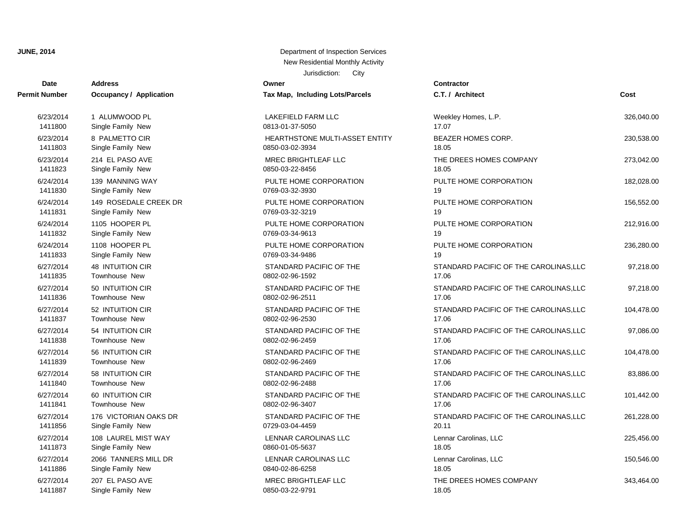## **Date Contractor Address Owner Permit Number Occupancy / Application Tax Map, Including Lots/Parcels** 1411887 Single Family New 2008 12:05 0850-03-22-9791 1411886 Single Family New 2012 12:05:06 0840-02-86-6258 6/27/2014 207 EL PASO AVE MREC BRIGHTLEAF LLC 1411873 Single Family New 2012 18.05.18.05.0680-01-05-5637 6/27/2014 2066 TANNERS MILL DR LENNAR CAROLINAS LLC 1411856 Single Family New 0729-03-04-4459 20.11 6/27/2014 108 LAUREL MIST WAY LENNAR CAROLINAS LLC 1411841 Townhouse New 2002-02-96-3407 0802-02-96-3407 6/27/2014 176 VICTORIAN OAKS DR STANDARD PACIFIC OF THE 1411840 Townhouse New 2008/02-02-96-2488 6/27/2014 60 INTUITION CIR STANDARD PACIFIC OF THE 1411839 Townhouse New 2008/02-02-96-2469 6/27/2014 58 INTUITION CIR STANDARD PACIFIC OF THE 1411838 Townhouse New 2002 12:06:22 0802-02-96-2459 6/27/2014 56 INTUITION CIR STANDARD PACIFIC OF THE 1411837 Townhouse New 2008/02-02-96-2530 6/27/2014 54 INTUITION CIR STANDARD PACIFIC OF THE 1411836 Townhouse New 2002 12:06:2511 6/27/2014 52 INTUITION CIR STANDARD PACIFIC OF THE 1411835 Townhouse New 2008/02-02-96-1592 6/27/2014 50 INTUITION CIR STANDARD PACIFIC OF THE 1411833 Single Family New 2012 12:00 0769-03-34-9486 6/27/2014 48 INTUITION CIR STANDARD PACIFIC OF THE 1411832 Single Family New 2012 12:00 0769-03-34-9613 6/24/2014 1108 HOOPER PL PULTE HOME CORPORATION 1411831 Single Family New 2012 12:00 0769-03-32-3219 6/24/2014 1105 HOOPER PL PULTE HOME CORPORATION 1411830 Single Family New 0769-03-32-3930 6/24/2014 149 ROSEDALE CREEK DR PULTE HOME CORPORATION 1411823 Single Family New 0850-03-22-8456 6/24/2014 139 MANNING WAY **PULTE HOME CORPORATION** 1411803 Single Family New 2012 12:05 0850-03-02-3934 6/23/2014 214 EL PASO AVE MREC BRIGHTLEAF LLC 1411800 Single Family New 0813-01-37-5050 6/23/2014 8 PALMETTO CIR HEARTHSTONE MULTI-ASSET ENTITY 6/23/2014 1 ALUMWOOD PL LAKEFIELD FARM LLC Weekley Homes, L.P. 326,040.00

Jurisdiction: City **JUNE, 2014** Department of Inspection Services New Residential Monthly Activity

| conuación<br>C.T. / Architect                   | Cost       |
|-------------------------------------------------|------------|
| Weekley Homes, L.P.<br>17.07                    | 326,040.00 |
| BEAZER HOMES CORP.<br>18.05                     | 230,538.00 |
| THE DREES HOMES COMPANY<br>18.05                | 273,042.00 |
| PULTE HOME CORPORATION<br>19                    | 182,028.00 |
| PULTE HOME CORPORATION<br>19                    | 156,552.00 |
| PULTE HOME CORPORATION<br>19                    | 212,916.00 |
| PULTE HOME CORPORATION<br>19                    | 236,280.00 |
| STANDARD PACIFIC OF THE CAROLINAS,LLC<br>17.06  | 97,218.00  |
| STANDARD PACIFIC OF THE CAROLINAS, LLC<br>17.06 | 97,218.00  |
| STANDARD PACIFIC OF THE CAROLINAS,LLC<br>17.06  | 104,478.00 |
| STANDARD PACIFIC OF THE CAROLINAS, LLC<br>17.06 | 97,086.00  |
| STANDARD PACIFIC OF THE CAROLINAS,LLC<br>17.06  | 104,478.00 |
| STANDARD PACIFIC OF THE CAROLINAS,LLC<br>17.06  | 83,886.00  |
| STANDARD PACIFIC OF THE CAROLINAS, LLC<br>17.06 | 101,442.00 |
| STANDARD PACIFIC OF THE CAROLINAS,LLC<br>20.11  | 261,228.00 |
| Lennar Carolinas, LLC<br>18.05                  | 225,456.00 |
| Lennar Carolinas, LLC<br>18.05                  | 150,546.00 |
| THE DREES HOMES COMPANY<br>18.05                | 343,464.00 |